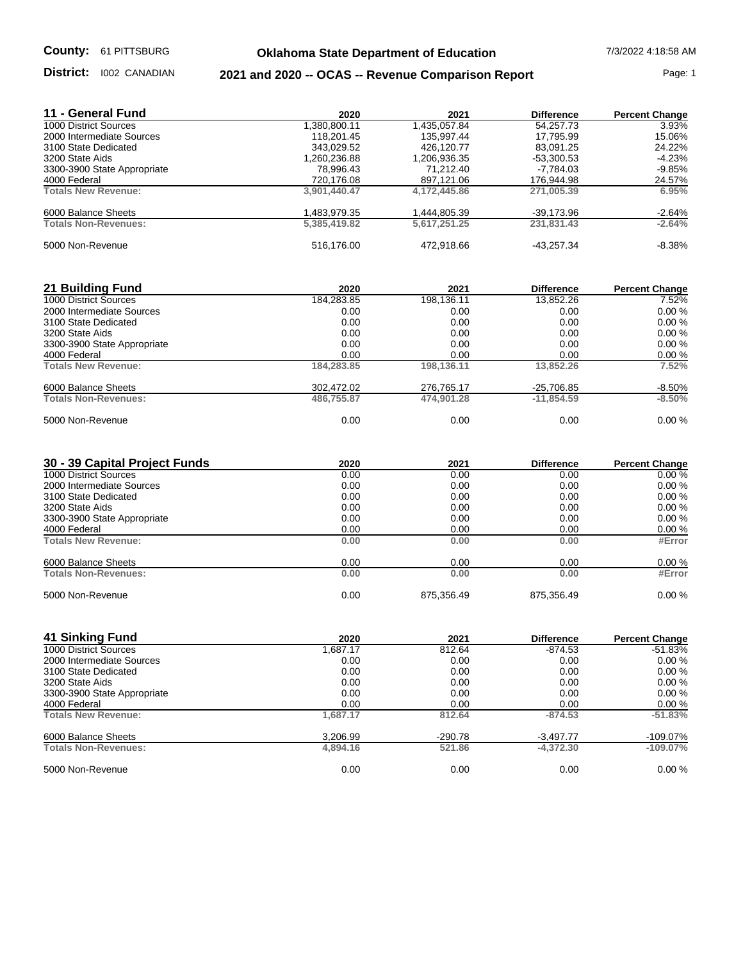## **Oklahoma State Department of Education** 7/3/2022 4:18:58 AM

District: 1002 CANADIAN

## **District:** l002 CANADIAN **2021 and 2020 -- OCAS -- Revenue Comparison Report Page: 1**

| 11 - General Fund           | 2020         | 2021         | <b>Difference</b> | <b>Percent Change</b> |
|-----------------------------|--------------|--------------|-------------------|-----------------------|
| 1000 District Sources       | 1,380,800.11 | 1,435,057.84 | 54.257.73         | 3.93%                 |
| 2000 Intermediate Sources   | 118.201.45   | 135.997.44   | 17.795.99         | 15.06%                |
| 3100 State Dedicated        | 343.029.52   | 426.120.77   | 83.091.25         | 24.22%                |
| 3200 State Aids             | 1,260,236.88 | 1,206,936.35 | $-53,300.53$      | $-4.23%$              |
| 3300-3900 State Appropriate | 78,996.43    | 71.212.40    | -7,784.03         | $-9.85%$              |
| 4000 Federal                | 720,176.08   | 897,121.06   | 176,944.98        | 24.57%                |
| <b>Totals New Revenue:</b>  | 3,901,440.47 | 4,172,445.86 | 271.005.39        | 6.95%                 |
| 6000 Balance Sheets         | 1,483,979.35 | 1,444,805.39 | -39,173.96        | $-2.64%$              |
| <b>Totals Non-Revenues:</b> | 5.385.419.82 | 5.617.251.25 | 231.831.43        | $-2.64%$              |
| 5000 Non-Revenue            | 516.176.00   | 472.918.66   | $-43.257.34$      | $-8.38%$              |

| 21 Building Fund            | 2020       | 2021       | <b>Difference</b> | <b>Percent Change</b> |
|-----------------------------|------------|------------|-------------------|-----------------------|
| 1000 District Sources       | 184,283.85 | 198,136.11 | 13.852.26         | 7.52%                 |
| 2000 Intermediate Sources   | 0.00       | 0.00       | 0.00              | 0.00%                 |
| 3100 State Dedicated        | 0.00       | 0.00       | 0.00              | 0.00%                 |
| 3200 State Aids             | 0.00       | 0.00       | 0.00              | 0.00%                 |
| 3300-3900 State Appropriate | 0.00       | 0.00       | 0.00              | 0.00%                 |
| 4000 Federal                | 0.00       | 0.00       | 0.00              | 0.00%                 |
| <b>Totals New Revenue:</b>  | 184,283.85 | 198.136.11 | 13.852.26         | 7.52%                 |
| 6000 Balance Sheets         | 302,472.02 | 276,765.17 | -25,706.85        | $-8.50%$              |
| <b>Totals Non-Revenues:</b> | 486.755.87 | 474.901.28 | $-11.854.59$      | $-8.50%$              |
| 5000 Non-Revenue            | 0.00       | 0.00       | 0.00              | 0.00%                 |

| 30 - 39 Capital Project Funds | 2020 | 2021       | <b>Difference</b> | <b>Percent Change</b> |
|-------------------------------|------|------------|-------------------|-----------------------|
| 1000 District Sources         | 0.00 | 0.00       | 0.00              | 0.00%                 |
| 2000 Intermediate Sources     | 0.00 | 0.00       | 0.00              | 0.00%                 |
| 3100 State Dedicated          | 0.00 | 0.00       | 0.00              | 0.00%                 |
| 3200 State Aids               | 0.00 | 0.00       | 0.00              | 0.00%                 |
| 3300-3900 State Appropriate   | 0.00 | 0.00       | 0.00              | 0.00%                 |
| 4000 Federal                  | 0.00 | 0.00       | 0.00              | 0.00%                 |
| <b>Totals New Revenue:</b>    | 0.00 | 0.00       | 0.00              | #Error                |
| 6000 Balance Sheets           | 0.00 | 0.00       | 0.00              | 0.00%                 |
| <b>Totals Non-Revenues:</b>   | 0.00 | 0.00       | 0.00              | #Error                |
| 5000 Non-Revenue              | 0.00 | 875,356.49 | 875,356.49        | 0.00%                 |

| 41 Sinking Fund             | 2020     | 2021      | <b>Difference</b> | <b>Percent Change</b> |
|-----------------------------|----------|-----------|-------------------|-----------------------|
| 1000 District Sources       | 1.687.17 | 812.64    | -874.53           | $-51.83\%$            |
| 2000 Intermediate Sources   | 0.00     | 0.00      | 0.00              | 0.00%                 |
| 3100 State Dedicated        | 0.00     | 0.00      | 0.00              | 0.00%                 |
| 3200 State Aids             | 0.00     | 0.00      | 0.00              | 0.00%                 |
| 3300-3900 State Appropriate | 0.00     | 0.00      | 0.00              | 0.00%                 |
| 4000 Federal                | 0.00     | 0.00      | 0.00              | 0.00%                 |
| <b>Totals New Revenue:</b>  | 1.687.17 | 812.64    | $-874.53$         | $-51.83%$             |
| 6000 Balance Sheets         | 3,206.99 | $-290.78$ | $-3,497.77$       | $-109.07\%$           |
| <b>Totals Non-Revenues:</b> | 4,894.16 | 521.86    | $-4.372.30$       | $-109.07\%$           |
| 5000 Non-Revenue            | 0.00     | 0.00      | 0.00              | 0.00%                 |